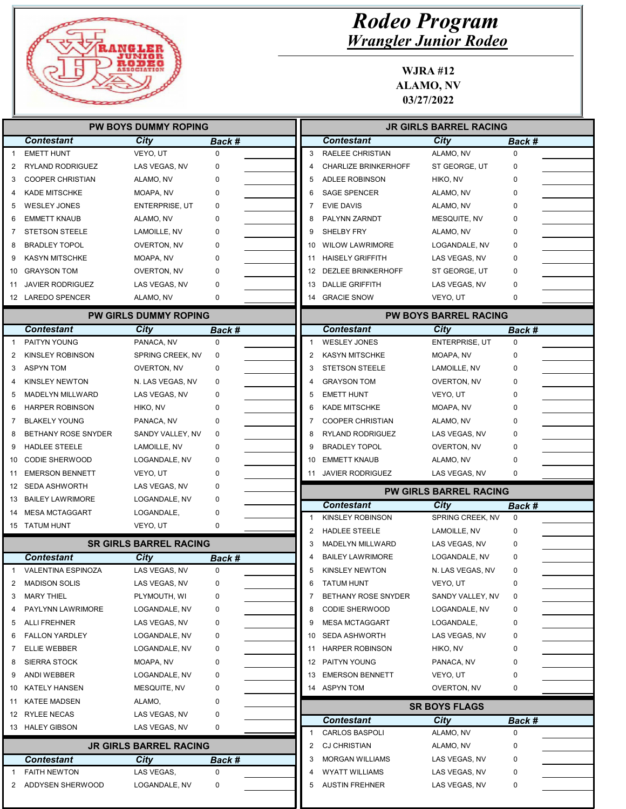

|          |                                         | <b>PW BOYS DUMMY ROPING</b>   |             |                | <b>JR GIRLS BARREL RACING</b>                  |                                |               |  |
|----------|-----------------------------------------|-------------------------------|-------------|----------------|------------------------------------------------|--------------------------------|---------------|--|
|          | <b>Contestant</b>                       | <b>City</b>                   | Back #      |                | <b>Contestant</b>                              | <b>City</b>                    | <b>Back #</b> |  |
|          | <b>EMETT HUNT</b>                       | VEYO, UT                      | 0           | 3              | RAELEE CHRISTIAN                               | ALAMO, NV                      | 0             |  |
| 2        | <b>RYLAND RODRIGUEZ</b>                 | LAS VEGAS, NV                 | 0           | 4              | <b>CHARLIZE BRINKERHOFF</b>                    | ST GEORGE, UT                  | 0             |  |
| 3        | <b>COOPER CHRISTIAN</b>                 | ALAMO, NV                     | 0           | 5              | ADLEE ROBINSON                                 | HIKO, NV                       | 0             |  |
|          | <b>KADE MITSCHKE</b>                    | MOAPA, NV                     | 0           | 6              | <b>SAGE SPENCER</b>                            | ALAMO, NV                      | 0             |  |
| 5        | <b>WESLEY JONES</b>                     | <b>ENTERPRISE, UT</b>         | 0           | 7              | <b>EVIE DAVIS</b>                              | ALAMO, NV                      | O             |  |
| 6        | <b>EMMETT KNAUB</b>                     | ALAMO, NV                     | 0           | 8              | PALYNN ZARNDT                                  | MESQUITE, NV                   |               |  |
| 7        | <b>STETSON STEELE</b>                   | LAMOILLE, NV                  | 0           | 9              | SHELBY FRY                                     | ALAMO, NV                      | 0             |  |
| 8        | <b>BRADLEY TOPOL</b>                    | OVERTON, NV                   | 0           | 10             | <b>WILOW LAWRIMORE</b>                         | LOGANDALE, NV                  | 0             |  |
| 9        | <b>KASYN MITSCHKE</b>                   | MOAPA, NV                     | 0           | 11             | <b>HAISELY GRIFFITH</b>                        | LAS VEGAS, NV                  | 0             |  |
| 10       | <b>GRAYSON TOM</b>                      | OVERTON, NV                   | 0           |                | 12 DEZLEE BRINKERHOFF                          | ST GEORGE, UT                  | 0             |  |
| 11       | <b>JAVIER RODRIGUEZ</b>                 | LAS VEGAS, NV                 | 0           | 13             | <b>DALLIE GRIFFITH</b>                         | LAS VEGAS, NV                  | 0             |  |
|          | 12 LAREDO SPENCER                       | ALAMO, NV                     | 0           |                | 14 GRACIE SNOW                                 | VEYO, UT                       | 0             |  |
|          |                                         | <b>PW GIRLS DUMMY ROPING</b>  |             |                |                                                | <b>PW BOYS BARREL RACING</b>   |               |  |
|          | <b>Contestant</b>                       | City                          | Back #      |                | <b>Contestant</b>                              | City                           | Back #        |  |
|          | PAITYN YOUNG                            | PANACA, NV                    | $\mathbf 0$ | $\overline{1}$ | <b>WESLEY JONES</b>                            | ENTERPRISE, UT                 | $\mathbf 0$   |  |
| 2        | <b>KINSLEY ROBINSON</b>                 | SPRING CREEK, NV              | 0           | 2              | <b>KASYN MITSCHKE</b>                          | MOAPA, NV                      | $\Omega$      |  |
| 3        | <b>ASPYN TOM</b>                        | OVERTON, NV                   | 0           | 3              | <b>STETSON STEELE</b>                          | LAMOILLE, NV                   | 0             |  |
| 4        | <b>KINSLEY NEWTON</b>                   | N. LAS VEGAS, NV              | 0           | 4              | <b>GRAYSON TOM</b>                             | OVERTON, NV                    | 0             |  |
| 5        | <b>MADELYN MILLWARD</b>                 | LAS VEGAS, NV                 | 0           | 5              | <b>EMETT HUNT</b>                              | VEYO, UT                       | 0             |  |
| 6        | <b>HARPER ROBINSON</b>                  | HIKO, NV                      | 0           | 6              | <b>KADE MITSCHKE</b>                           | MOAPA, NV                      | 0             |  |
| 7        | <b>BLAKELY YOUNG</b>                    | PANACA, NV                    | 0           | 7              | <b>COOPER CHRISTIAN</b>                        | ALAMO, NV                      | 0             |  |
| 8        | <b>BETHANY ROSE SNYDER</b>              | SANDY VALLEY, NV              | 0           | 8              | RYLAND RODRIGUEZ                               | LAS VEGAS, NV                  | 0             |  |
| 9        | <b>HADLEE STEELE</b>                    | LAMOILLE, NV                  | 0           | 9              | <b>BRADLEY TOPOL</b>                           | OVERTON, NV                    | 0             |  |
| 10       | <b>CODIE SHERWOOD</b>                   | LOGANDALE, NV                 | 0           | 10             | <b>EMMETT KNAUB</b>                            | ALAMO, NV                      | 0             |  |
| 11       | <b>EMERSON BENNETT</b>                  | VEYO, UT                      | 0           | 11             | <b>JAVIER RODRIGUEZ</b>                        | LAS VEGAS, NV                  | 0             |  |
| 12       | SEDA ASHWORTH                           | LAS VEGAS, NV                 | 0           |                |                                                |                                |               |  |
| 13       | <b>BAILEY LAWRIMORE</b>                 | LOGANDALE, NV                 | 0           |                |                                                | <b>PW GIRLS BARREL RACING</b>  |               |  |
|          | 14 MESA MCTAGGART                       | LOGANDALE,                    | 0           | 1              | <b>Contestant</b><br><b>KINSLEY ROBINSON</b>   | City<br>SPRING CREEK, NV       | Back #<br>0   |  |
|          | 15 TATUM HUNT                           | VEYO, UT                      | 0           | 2              |                                                |                                |               |  |
|          |                                         | <b>SR GIRLS BARREL RACING</b> |             |                | <b>HADLEE STEELE</b>                           | LAMOILLE, NV                   | 0<br>0        |  |
|          | <b>Contestant</b>                       |                               |             | 3<br>4         | MADELYN MILLWARD<br><b>BAILEY LAWRIMORE</b>    | LAS VEGAS, NV<br>LOGANDALE, NV | 0             |  |
| 1        | VALENTINA ESPINOZA                      | City<br>LAS VEGAS, NV         | Back #<br>0 | 5              | KINSLEY NEWTON                                 | N. LAS VEGAS, NV               | 0             |  |
|          | <b>MADISON SOLIS</b>                    | LAS VEGAS, NV                 | 0           |                |                                                |                                |               |  |
| 2        |                                         |                               |             |                |                                                |                                |               |  |
|          |                                         |                               |             | 6              | <b>TATUM HUNT</b>                              | VEYO, UT                       | 0             |  |
| 3        | <b>MARY THIEL</b>                       | PLYMOUTH, WI                  | 0           | 7              | BETHANY ROSE SNYDER                            | SANDY VALLEY, NV               | 0             |  |
| 4        | PAYLYNN LAWRIMORE                       | LOGANDALE, NV                 | 0           | 8              | <b>CODIE SHERWOOD</b>                          | LOGANDALE, NV                  | 0             |  |
| 5        | <b>ALLI FREHNER</b>                     | LAS VEGAS, NV                 | 0           | 9              | <b>MESA MCTAGGART</b>                          | LOGANDALE,                     | 0             |  |
| 6        | <b>FALLON YARDLEY</b>                   | LOGANDALE, NV                 | 0           |                | 10 SEDA ASHWORTH                               | LAS VEGAS, NV                  | 0             |  |
| 7        | <b>ELLIE WEBBER</b>                     | LOGANDALE, NV                 | 0           | 11             | <b>HARPER ROBINSON</b>                         | HIKO, NV                       | 0             |  |
| 8        | <b>SIERRA STOCK</b>                     | MOAPA, NV                     | 0           |                | 12 PAITYN YOUNG                                | PANACA, NV                     | 0             |  |
|          | ANDI WEBBER                             | LOGANDALE, NV                 | 0           | 13             | <b>EMERSON BENNETT</b>                         | VEYO, UT                       | 0             |  |
| 9        | KATELY HANSEN                           | MESQUITE, NV                  | 0           |                | 14 ASPYN TOM                                   | OVERTON, NV                    | 0             |  |
|          | <b>KATEE MADSEN</b>                     | ALAMO,                        | 0           |                |                                                | <b>SR BOYS FLAGS</b>           |               |  |
|          | 12 RYLEE NECAS                          | LAS VEGAS, NV                 | 0           |                | <b>Contestant</b>                              | <b>City</b>                    | Back #        |  |
|          | 13 HALEY GIBSON                         | LAS VEGAS, NV                 | 0           | 1              | <b>CARLOS BASPOLI</b>                          | ALAMO, NV                      | 0             |  |
| 10<br>11 |                                         | <b>JR GIRLS BARREL RACING</b> |             | 2              | <b>CJ CHRISTIAN</b>                            | ALAMO, NV                      | 0             |  |
|          | <b>Contestant</b>                       | <b>City</b>                   | Back #      | 3              | <b>MORGAN WILLIAMS</b>                         | LAS VEGAS, NV                  | 0             |  |
| 2        | <b>FAITH NEWTON</b><br>ADDYSEN SHERWOOD | LAS VEGAS,<br>LOGANDALE, NV   | 0<br>0      | 4<br>5         | <b>WYATT WILLIAMS</b><br><b>AUSTIN FREHNER</b> | LAS VEGAS, NV<br>LAS VEGAS, NV | 0<br>0        |  |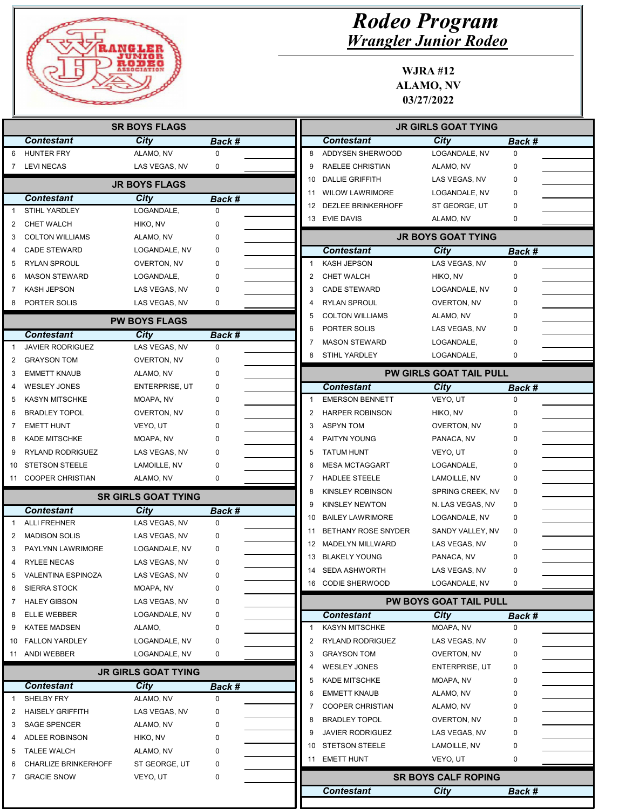

|                               | <b>SR BOYS FLAGS</b>        |                            |               |  |  |
|-------------------------------|-----------------------------|----------------------------|---------------|--|--|
| <b>Contestant</b>             |                             | City                       | <b>Back #</b> |  |  |
| <b>HUNTER FRY</b><br>6        |                             | ALAMO, NV                  | 0             |  |  |
| 7 LEVINECAS                   |                             | LAS VEGAS, NV              | 0             |  |  |
|                               |                             | <b>JR BOYS FLAGS</b>       |               |  |  |
|                               |                             |                            |               |  |  |
| <b>Contestant</b>             |                             | <b>City</b>                | Back #        |  |  |
| STIHL YARDLEY                 |                             | LOGANDALE,                 | 0             |  |  |
| <b>CHET WALCH</b><br>2<br>3   | <b>COLTON WILLIAMS</b>      | HIKO, NV<br>ALAMO, NV      | $\Omega$<br>0 |  |  |
| <b>CADE STEWARD</b>           |                             | LOGANDALE, NV              | 0             |  |  |
| <b>RYLAN SPROUL</b><br>5      |                             | OVERTON, NV                | 0             |  |  |
| 6                             | <b>MASON STEWARD</b>        | LOGANDALE,                 | 0             |  |  |
| KASH JEPSON<br>7              |                             | LAS VEGAS, NV              | 0             |  |  |
| PORTER SOLIS<br>8             |                             | LAS VEGAS, NV              | 0             |  |  |
|                               |                             |                            |               |  |  |
|                               |                             | <b>PW BOYS FLAGS</b>       |               |  |  |
| <b>Contestant</b>             |                             | City                       | <b>Back #</b> |  |  |
|                               | <b>JAVIER RODRIGUEZ</b>     | LAS VEGAS, NV              | 0             |  |  |
| <b>GRAYSON TOM</b><br>2       |                             | OVERTON, NV                | 0             |  |  |
| <b>EMMETT KNAUB</b><br>3      |                             | ALAMO, NV                  | 0             |  |  |
| <b>WESLEY JONES</b><br>4      |                             | <b>ENTERPRISE, UT</b>      | 0             |  |  |
| 5                             | <b>KASYN MITSCHKE</b>       | MOAPA, NV                  | U             |  |  |
| <b>BRADLEY TOPOL</b><br>6     |                             | OVERTON, NV                |               |  |  |
| <b>EMETT HUNT</b><br>7        |                             | VEYO, UT                   | 0             |  |  |
| <b>KADE MITSCHKE</b><br>8     |                             | MOAPA, NV                  | 0             |  |  |
| 9                             | RYLAND RODRIGUEZ            | LAS VEGAS, NV              | 0             |  |  |
| 10                            | <b>STETSON STEELE</b>       | LAMOILLE, NV               | 0             |  |  |
| 11 COOPER CHRISTIAN           |                             | ALAMO, NV                  | 0             |  |  |
|                               |                             | <b>SR GIRLS GOAT TYING</b> |               |  |  |
| <b>Contestant</b>             |                             | City                       | Back #        |  |  |
| <b>ALLI FREHNER</b>           |                             | LAS VEGAS, NV              | 0             |  |  |
| <b>MADISON SOLIS</b><br>2     |                             | LAS VEGAS, NV              | 0             |  |  |
| 3                             | PAYLYNN LAWRIMORE           | LOGANDALE, NV              | 0             |  |  |
| <b>RYLEE NECAS</b>            |                             | LAS VEGAS, NV              | 0             |  |  |
| 5                             | VALENTINA ESPINOZA          | LAS VEGAS, NV              | 0             |  |  |
| <b>SIERRA STOCK</b>           |                             | MOAPA, NV                  | 0             |  |  |
| 6<br><b>HALEY GIBSON</b><br>7 |                             | LAS VEGAS, NV              | 0             |  |  |
|                               |                             |                            |               |  |  |
| ELLIE WEBBER<br>8             |                             | LOGANDALE, NV              | 0             |  |  |
| <b>KATEE MADSEN</b><br>9      |                             | ALAMO,                     | 0             |  |  |
| <b>FALLON YARDLEY</b><br>10   |                             | LOGANDALE, NV              | 0             |  |  |
| 11 ANDI WEBBER                |                             | LOGANDALE, NV              | 0             |  |  |
|                               |                             | <b>JR GIRLS GOAT TYING</b> |               |  |  |
| <b>Contestant</b>             |                             | City                       | Back #        |  |  |
| SHELBY FRY<br>-1              |                             | ALAMO, NV                  | 0             |  |  |
| 2                             | <b>HAISELY GRIFFITH</b>     | LAS VEGAS, NV              | 0             |  |  |
| <b>SAGE SPENCER</b><br>3      |                             | ALAMO, NV                  | 0             |  |  |
| 4                             | ADLEE ROBINSON              | HIKO, NV                   | 0             |  |  |
| <b>TALEE WALCH</b><br>5       |                             | ALAMO, NV                  | 0             |  |  |
| 6                             | <b>CHARLIZE BRINKERHOFF</b> | ST GEORGE, UT              | 0             |  |  |
| <b>GRACIE SNOW</b><br>7       |                             | VEYO, UT                   | 0             |  |  |
|                               |                             |                            |               |  |  |
|                               |                             |                            |               |  |  |
|                               |                             |                            |               |  |  |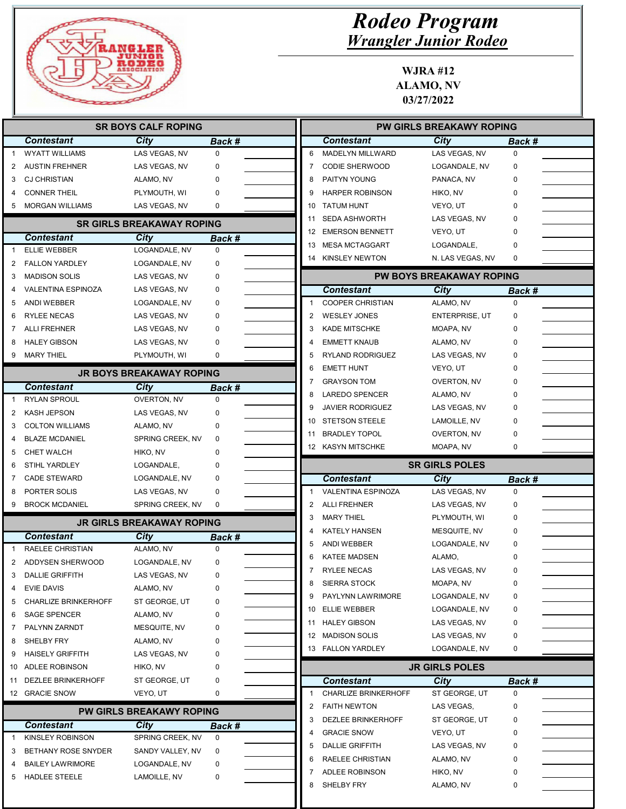

|                            |                             | <b>SR BOYS CALF ROPING</b>       |                       |    |                                              | <b>PW GIRLS BREAKAWY ROPING</b> |                       |
|----------------------------|-----------------------------|----------------------------------|-----------------------|----|----------------------------------------------|---------------------------------|-----------------------|
|                            | <b>Contestant</b>           | City                             | Back #                |    | <b>Contestant</b>                            | City                            | Back #                |
|                            | <b>WYATT WILLIAMS</b>       | LAS VEGAS, NV                    | 0                     | 6  | MADELYN MILLWARD                             | LAS VEGAS, NV                   | $\mathbf 0$           |
| 2                          | <b>AUSTIN FREHNER</b>       | LAS VEGAS, NV                    | 0                     | 7  | <b>CODIE SHERWOOD</b>                        | LOGANDALE, NV                   | 0                     |
| з                          | <b>CJ CHRISTIAN</b>         | ALAMO, NV                        | 0                     | 8  | PAITYN YOUNG                                 | PANACA, NV                      | $\Omega$              |
|                            | <b>CONNER THEIL</b>         | PLYMOUTH, WI                     | 0                     | 9  | <b>HARPER ROBINSON</b>                       | HIKO, NV                        | 0                     |
| 5                          | <b>MORGAN WILLIAMS</b>      | LAS VEGAS, NV                    | 0                     | 10 | <b>TATUM HUNT</b>                            | VEYO, UT                        | 0                     |
|                            |                             | <b>SR GIRLS BREAKAWAY ROPING</b> |                       | 11 | <b>SEDA ASHWORTH</b>                         | LAS VEGAS, NV                   | 0                     |
|                            | <b>Contestant</b>           |                                  |                       | 12 | <b>EMERSON BENNETT</b>                       | VEYO, UT                        | 0                     |
|                            | ELLIE WEBBER                | City<br>LOGANDALE, NV            | Back #<br>$\mathbf 0$ | 13 | <b>MESA MCTAGGART</b>                        | LOGANDALE,                      | 0                     |
| 2                          | <b>FALLON YARDLEY</b>       | LOGANDALE, NV                    | 0                     | 14 | KINSLEY NEWTON                               | N. LAS VEGAS, NV                | 0                     |
| 3                          | <b>MADISON SOLIS</b>        | LAS VEGAS, NV                    | 0                     |    |                                              | <b>PW BOYS BREAKAWAY ROPING</b> |                       |
|                            | <b>VALENTINA ESPINOZA</b>   | LAS VEGAS, NV                    | 0                     |    |                                              | City                            |                       |
| 5                          | ANDI WEBBER                 | LOGANDALE, NV                    | 0                     | -1 | <b>Contestant</b><br><b>COOPER CHRISTIAN</b> | ALAMO, NV                       | Back #<br>$\mathbf 0$ |
|                            | <b>RYLEE NECAS</b>          |                                  | 0                     | 2  | <b>WESLEY JONES</b>                          |                                 | 0                     |
| 6                          |                             | LAS VEGAS, NV                    |                       |    | <b>KADE MITSCHKE</b>                         | <b>ENTERPRISE, UT</b>           | 0                     |
|                            | <b>ALLI FREHNER</b>         | LAS VEGAS, NV                    | 0                     | 3  |                                              | MOAPA, NV                       | 0                     |
| 8                          | <b>HALEY GIBSON</b>         | LAS VEGAS, NV                    | 0                     | 5  | <b>EMMETT KNAUB</b>                          | ALAMO, NV                       | 0                     |
| 9                          | <b>MARY THIEL</b>           | PLYMOUTH, WI                     | 0                     |    | RYLAND RODRIGUEZ                             | LAS VEGAS, NV                   | 0                     |
|                            |                             | <b>JR BOYS BREAKAWAY ROPING</b>  |                       | 6  | <b>EMETT HUNT</b>                            | VEYO, UT                        | 0                     |
|                            | Contestant                  | City                             | Back #                |    | <b>GRAYSON TOM</b>                           | OVERTON, NV                     |                       |
|                            | <b>RYLAN SPROUL</b>         | OVERTON, NV                      | 0                     | 8  | <b>LAREDO SPENCER</b>                        | ALAMO, NV                       | 0                     |
| 2                          | <b>KASH JEPSON</b>          | LAS VEGAS, NV                    | 0                     | 9  | <b>JAVIER RODRIGUEZ</b>                      | LAS VEGAS, NV                   | 0                     |
| 3                          | <b>COLTON WILLIAMS</b>      | ALAMO, NV                        | 0                     | 10 | <b>STETSON STEELE</b>                        | LAMOILLE, NV                    | 0                     |
| 4                          | <b>BLAZE MCDANIEL</b>       | SPRING CREEK, NV                 | 0                     | 11 | <b>BRADLEY TOPOL</b>                         | OVERTON, NV                     | 0                     |
| 5                          | <b>CHET WALCH</b>           | HIKO, NV                         | 0                     |    | 12 KASYN MITSCHKE                            | MOAPA, NV                       | 0                     |
| 6                          | <b>STIHL YARDLEY</b>        | LOGANDALE,                       | 0                     |    |                                              | <b>SR GIRLS POLES</b>           |                       |
|                            | <b>CADE STEWARD</b>         | LOGANDALE, NV                    | 0                     |    | <b>Contestant</b>                            | City                            | Back #                |
|                            |                             |                                  |                       |    | VALENTINA ESPINOZA                           |                                 | $\mathbf 0$           |
|                            | PORTER SOLIS                | LAS VEGAS, NV                    | 0                     | 1  |                                              | LAS VEGAS, NV                   |                       |
|                            | <b>BROCK MCDANIEL</b>       | SPRING CREEK, NV                 | 0                     | 2  | <b>ALLI FREHNER</b>                          | LAS VEGAS, NV                   | 0                     |
|                            |                             |                                  |                       | 3  | <b>MARY THIEL</b>                            | PLYMOUTH, WI                    | 0                     |
|                            |                             | <b>JR GIRLS BREAKAWAY ROPING</b> |                       | 4  | <b>KATELY HANSEN</b>                         | MESQUITE, NV                    | 0                     |
|                            | <b>Contestant</b>           | <b>City</b>                      | Back #<br>$\Omega$    | 5  | <b>ANDI WEBBER</b>                           | LOGANDALE, NV                   | 0                     |
|                            | RAELEE CHRISTIAN            | ALAMO, NV                        |                       | 6  | <b>KATEE MADSEN</b>                          | ALAMO,                          | 0                     |
|                            | ADDYSEN SHERWOOD            | LOGANDALE, NV                    | 0                     | 7  | <b>RYLEE NECAS</b>                           | LAS VEGAS, NV                   | $\mathbf 0$           |
|                            | <b>DALLIE GRIFFITH</b>      | LAS VEGAS, NV                    |                       | 8  | <b>SIERRA STOCK</b>                          | MOAPA, NV                       | 0                     |
|                            | <b>EVIE DAVIS</b>           | ALAMO, NV                        | 0                     |    | PAYLYNN LAWRIMORE                            | LOGANDALE, NV                   | 0                     |
|                            | <b>CHARLIZE BRINKERHOFF</b> | ST GEORGE, UT                    | 0                     | 10 | ELLIE WEBBER                                 | LOGANDALE, NV                   | 0                     |
|                            | <b>SAGE SPENCER</b>         | ALAMO, NV                        | 0                     |    | 11 HALEY GIBSON                              | LAS VEGAS, NV                   | 0                     |
| 9<br>4<br>5                | PALYNN ZARNDT               | MESQUITE, NV                     | 0                     | 12 | <b>MADISON SOLIS</b>                         | LAS VEGAS, NV                   | 0                     |
|                            | SHELBY FRY                  | ALAMO, NV                        | 0                     |    | 13 FALLON YARDLEY                            | LOGANDALE, NV                   | 0                     |
|                            | <b>HAISELY GRIFFITH</b>     | LAS VEGAS, NV                    | 0                     |    |                                              |                                 |                       |
|                            | 10 ADLEE ROBINSON           | HIKO, NV                         | 0                     |    |                                              | <b>JR GIRLS POLES</b>           |                       |
|                            | <b>DEZLEE BRINKERHOFF</b>   | ST GEORGE, UT                    | 0                     |    | <b>Contestant</b>                            | <b>City</b>                     | Back #                |
|                            | 12 GRACIE SNOW              | VEYO, UT                         | 0                     |    | <b>CHARLIZE BRINKERHOFF</b>                  | ST GEORGE, UT                   | 0                     |
|                            |                             | <b>PW GIRLS BREAKAWY ROPING</b>  |                       | 2  | <b>FAITH NEWTON</b>                          | LAS VEGAS,                      | 0                     |
|                            | <b>Contestant</b>           | City                             | Back #                | 3  | <b>DEZLEE BRINKERHOFF</b>                    | ST GEORGE, UT                   | 0                     |
| 8<br>6<br>7<br>8<br>9<br>1 | <b>KINSLEY ROBINSON</b>     | SPRING CREEK, NV                 | 0                     | 4  | <b>GRACIE SNOW</b>                           | VEYO, UT                        | 0                     |
| 3                          | BETHANY ROSE SNYDER         | SANDY VALLEY, NV                 | 0                     | 5  | <b>DALLIE GRIFFITH</b>                       | LAS VEGAS, NV                   | 0                     |
| 11                         | <b>BAILEY LAWRIMORE</b>     | LOGANDALE, NV                    | 0                     | 6  | RAELEE CHRISTIAN<br><b>ADLEE ROBINSON</b>    | ALAMO, NV<br>HIKO, NV           | 0<br>0                |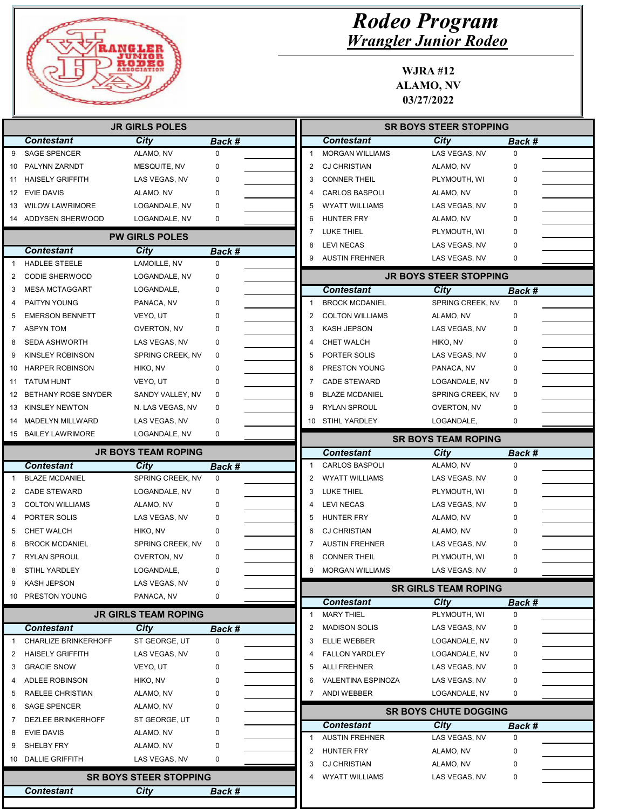

|    |                             | <b>JR GIRLS POLES</b>         |        |    |                        | <b>SR BOYS STEER STOPPING</b>      |                       |
|----|-----------------------------|-------------------------------|--------|----|------------------------|------------------------------------|-----------------------|
|    | <b>Contestant</b>           | City                          | Back # |    | <b>Contestant</b>      | City                               | Back #                |
| 9  | <b>SAGE SPENCER</b>         | ALAMO, NV                     | 0      |    | <b>MORGAN WILLIAMS</b> | LAS VEGAS, NV                      | $\mathbf 0$           |
| 10 | PALYNN ZARNDT               | MESQUITE, NV                  | 0      | 2  | <b>CJ CHRISTIAN</b>    | ALAMO, NV                          | 0                     |
| 11 | <b>HAISELY GRIFFITH</b>     | LAS VEGAS, NV                 | 0      | 3  | <b>CONNER THEIL</b>    | PLYMOUTH, WI                       | 0                     |
|    | 12 EVIE DAVIS               | ALAMO, NV                     | 0      |    | <b>CARLOS BASPOLI</b>  | ALAMO, NV                          | 0                     |
| 13 | <b>WILOW LAWRIMORE</b>      | LOGANDALE, NV                 | 0      | 5  | <b>WYATT WILLIAMS</b>  | LAS VEGAS, NV                      | $\mathbf 0$           |
|    | 14 ADDYSEN SHERWOOD         | LOGANDALE, NV                 | 0      | 6  | <b>HUNTER FRY</b>      | ALAMO, NV                          | $\mathbf 0$           |
|    |                             | <b>PW GIRLS POLES</b>         |        | 7  | <b>LUKE THIEL</b>      | PLYMOUTH, WI                       | $\mathbf 0$           |
|    | <b>Contestant</b>           | City                          | Back # | 8  | <b>LEVI NECAS</b>      | LAS VEGAS, NV                      | $\mathbf 0$           |
|    | <b>HADLEE STEELE</b>        | LAMOILLE, NV                  | 0      | 9  | <b>AUSTIN FREHNER</b>  | LAS VEGAS, NV                      | 0                     |
| 2  | <b>CODIE SHERWOOD</b>       | LOGANDALE, NV                 | 0      |    |                        | <b>JR BOYS STEER STOPPING</b>      |                       |
| 3  | <b>MESA MCTAGGART</b>       | LOGANDALE,                    | 0      |    | <b>Contestant</b>      | City                               | Back #                |
|    | PAITYN YOUNG                | PANACA, NV                    | 0      |    | <b>BROCK MCDANIEL</b>  | SPRING CREEK, NV                   | $\mathbf 0$           |
| 5  | <b>EMERSON BENNETT</b>      | VEYO, UT                      | 0      | 2  | <b>COLTON WILLIAMS</b> | ALAMO, NV                          | $\mathbf 0$           |
| 7  | <b>ASPYN TOM</b>            | OVERTON, NV                   |        | 3  | <b>KASH JEPSON</b>     | LAS VEGAS, NV                      | $\mathbf 0$           |
| 8  | <b>SEDA ASHWORTH</b>        | LAS VEGAS, NV                 | 0      | 4  | <b>CHET WALCH</b>      | HIKO, NV                           | 0                     |
| 9  | <b>KINSLEY ROBINSON</b>     | SPRING CREEK, NV              | 0      | 5  | PORTER SOLIS           | LAS VEGAS, NV                      | $\mathbf 0$           |
| 10 | <b>HARPER ROBINSON</b>      | HIKO, NV                      | 0      | 6  | PRESTON YOUNG          | PANACA, NV                         | 0                     |
| 11 | <b>TATUM HUNT</b>           | VEYO, UT                      | 0      |    | <b>CADE STEWARD</b>    | LOGANDALE, NV                      | 0                     |
|    | 12 BETHANY ROSE SNYDER      | SANDY VALLEY, NV              | 0      |    | <b>BLAZE MCDANIEL</b>  | SPRING CREEK, NV                   | $\mathbf 0$           |
|    | 13 KINSLEY NEWTON           | N. LAS VEGAS, NV              | 0      | g  | RYLAN SPROUL           | <b>OVERTON, NV</b>                 | $\mathbf 0$           |
| 14 | <b>MADELYN MILLWARD</b>     | LAS VEGAS, NV                 | 0      | 10 | <b>STIHL YARDLEY</b>   | LOGANDALE,                         | 0                     |
|    | 15 BAILEY LAWRIMORE         | LOGANDALE, NV                 | 0      |    |                        |                                    |                       |
|    |                             | <b>JR BOYS TEAM ROPING</b>    |        |    | <b>Contestant</b>      | <b>SR BOYS TEAM ROPING</b><br>City |                       |
|    | <b>Contestant</b>           | City                          | Back # | 1  | <b>CARLOS BASPOLI</b>  | ALAMO, NV                          | Back #<br>$\mathbf 0$ |
|    | <b>BLAZE MCDANIEL</b>       | SPRING CREEK, NV              | 0      | 2  | <b>WYATT WILLIAMS</b>  | LAS VEGAS, NV                      | 0                     |
| 2  | <b>CADE STEWARD</b>         | LOGANDALE, NV                 | 0      | 3  | <b>LUKE THIEL</b>      | PLYMOUTH, WI                       | 0                     |
| 3  | <b>COLTON WILLIAMS</b>      | ALAMO, NV                     | 0      |    | <b>LEVI NECAS</b>      | LAS VEGAS, NV                      | 0                     |
| 4  | PORTER SOLIS                | LAS VEGAS, NV                 | 0      | 5  | HUNTER FRY             | ALAMO, NV                          | 0                     |
| 5  | <b>CHET WALCH</b>           | HIKO, NV                      | 0      | 6  | <b>CJ CHRISTIAN</b>    | ALAMO, NV                          | $\mathbf 0$           |
| 6  | <b>BROCK MCDANIEL</b>       | SPRING CREEK, NV              | 0      | 7  | <b>AUSTIN FREHNER</b>  | LAS VEGAS, NV                      | $\mathbf 0$           |
|    | <b>RYLAN SPROUL</b>         | OVERTON, NV                   | 0      | 8  | <b>CONNER THEIL</b>    | PLYMOUTH, WI                       | $\mathbf 0$           |
| 8  | STIHL YARDLEY               | LOGANDALE,                    | 0      | g  | <b>MORGAN WILLIAMS</b> | LAS VEGAS, NV                      | $\mathbf 0$           |
| 9  | KASH JEPSON                 | LAS VEGAS, NV                 | 0      |    |                        |                                    |                       |
|    | 10 PRESTON YOUNG            | PANACA, NV                    | 0      |    |                        | <b>SR GIRLS TEAM ROPING</b>        |                       |
|    |                             |                               |        |    | <b>Contestant</b>      | <b>City</b>                        | Back #                |
|    |                             | <b>JR GIRLS TEAM ROPING</b>   |        | 1  | <b>MARY THIEL</b>      | PLYMOUTH, WI                       | 0                     |
|    | <b>Contestant</b>           | <b>City</b>                   | Back # | 2  | <b>MADISON SOLIS</b>   | LAS VEGAS, NV                      | 0                     |
|    | <b>CHARLIZE BRINKERHOFF</b> | ST GEORGE, UT                 | 0      | 3  | ELLIE WEBBER           | LOGANDALE, NV                      | 0                     |
| 2  | <b>HAISELY GRIFFITH</b>     | LAS VEGAS, NV                 | 0      |    | <b>FALLON YARDLEY</b>  | LOGANDALE, NV                      | 0                     |
| 3  | <b>GRACIE SNOW</b>          | VEYO, UT                      | 0      | 5  | <b>ALLI FREHNER</b>    | LAS VEGAS, NV                      | 0                     |
| 4  | ADLEE ROBINSON              | HIKO, NV                      | 0      | 6  | VALENTINA ESPINOZA     | LAS VEGAS, NV                      | 0                     |
| 5  | RAELEE CHRISTIAN            | ALAMO, NV                     | 0      |    | ANDI WEBBER            | LOGANDALE, NV                      | 0                     |
| 6  | <b>SAGE SPENCER</b>         | ALAMO, NV                     | 0      |    |                        | <b>SR BOYS CHUTE DOGGING</b>       |                       |
| 7  | DEZLEE BRINKERHOFF          | ST GEORGE, UT                 | 0      |    | <b>Contestant</b>      | City                               | Back #                |
| 8  | <b>EVIE DAVIS</b>           | ALAMO, NV                     | 0      |    | <b>AUSTIN FREHNER</b>  | LAS VEGAS, NV                      | 0                     |
| 9  | SHELBY FRY                  | ALAMO, NV                     | 0      | 2  | HUNTER FRY             | ALAMO, NV                          | 0                     |
|    | 10 DALLIE GRIFFITH          | LAS VEGAS, NV                 | 0      | 3  | <b>CJ CHRISTIAN</b>    | ALAMO, NV                          | 0                     |
|    |                             | <b>SR BOYS STEER STOPPING</b> |        | 4  | <b>WYATT WILLIAMS</b>  | LAS VEGAS, NV                      | 0                     |
|    | <b>Contestant</b>           | <b>City</b>                   | Back # |    |                        |                                    |                       |
|    |                             |                               |        |    |                        |                                    |                       |